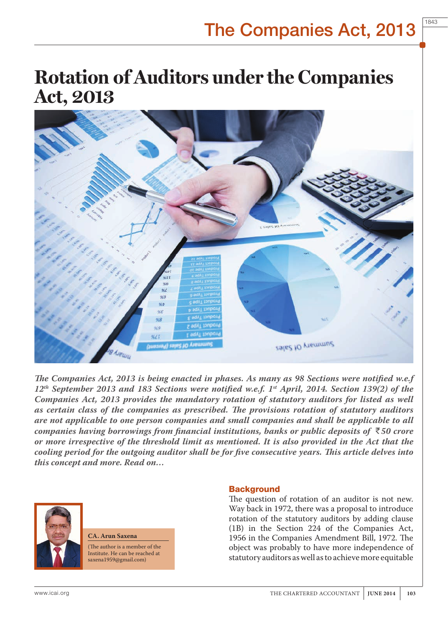1843

# **Rotation of Auditors under the Companies Act, 2013**



*The Companies Act, 2013 is being enacted in phases. As many as 98 Sections were notified w.e.f 12th September 2013 and 183 Sections were notified w.e.f. 1st April, 2014. Section 139(2) of the Companies Act, 2013 provides the mandatory rotation of statutory auditors for listed as well as certain class of the companies as prescribed. The provisions rotation of statutory auditors are not applicable to one person companies and small companies and shall be applicable to all companies having borrowings from financial institutions, banks or public deposits of*  $\overline{\xi}$ 50 crore *or more irrespective of the threshold limit as mentioned. It is also provided in the Act that the cooling period for the outgoing auditor shall be for five consecutive years. This article delves into this concept and more. Read on…*



**CA. Arun Saxena**

(The author is a member of the Institute. He can be reached at saxena1959@gmail.com)

### **Background**

The question of rotation of an auditor is not new. Way back in 1972, there was a proposal to introduce rotation of the statutory auditors by adding clause (1B) in the Section 224 of the Companies Act, 1956 in the Companies Amendment Bill, 1972. The object was probably to have more independence of statutory auditors as well as to achieve more equitable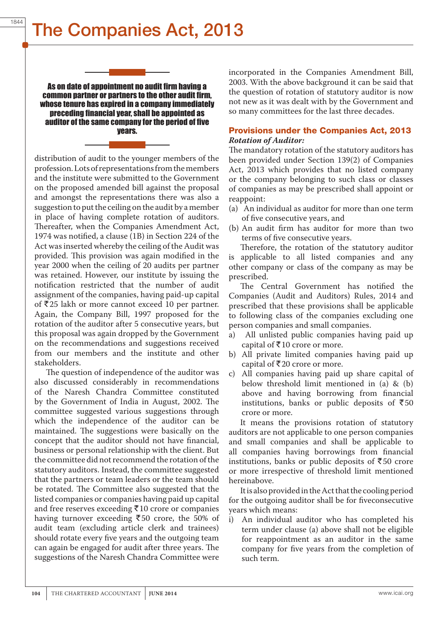# The Companies Act, 2013

As on date of appointment no audit firm having a common partner or partners to the other audit firm, whose tenure has expired in a company immediately preceding financial year, shall be appointed as auditor of the same company for the period of five years.

distribution of audit to the younger members of the profession. Lots of representations from the members and the institute were submitted to the Government on the proposed amended bill against the proposal and amongst the representations there was also a suggestion to put the ceiling on the audit by a member in place of having complete rotation of auditors. Thereafter, when the Companies Amendment Act, 1974 was notified, a clause (1B) in Section 224 of the Act was inserted whereby the ceiling of the Audit was provided. This provision was again modified in the year 2000 when the ceiling of 20 audits per partner was retained. However, our institute by issuing the notification restricted that the number of audit assignment of the companies, having paid-up capital of  $\overline{5}25$  lakh or more cannot exceed 10 per partner. Again, the Company Bill, 1997 proposed for the rotation of the auditor after 5 consecutive years, but this proposal was again dropped by the Government on the recommendations and suggestions received from our members and the institute and other stakeholders.

The question of independence of the auditor was also discussed considerably in recommendations of the Naresh Chandra Committee constituted by the Government of India in August, 2002. The committee suggested various suggestions through which the independence of the auditor can be maintained. The suggestions were basically on the concept that the auditor should not have financial, business or personal relationship with the client. But the committee did not recommend the rotation of the statutory auditors. Instead, the committee suggested that the partners or team leaders or the team should be rotated. The Committee also suggested that the listed companies or companies having paid up capital and free reserves exceeding  $\overline{\xi}$ 10 crore or companies having turnover exceeding  $\overline{550}$  crore, the 50% of audit team (excluding article clerk and trainees) should rotate every five years and the outgoing team can again be engaged for audit after three years. The suggestions of the Naresh Chandra Committee were

incorporated in the Companies Amendment Bill, 2003. With the above background it can be said that the question of rotation of statutory auditor is now not new as it was dealt with by the Government and so many committees for the last three decades.

## Provisions under the Companies Act, 2013 *Rotation of Auditor:*

The mandatory rotation of the statutory auditors has been provided under Section 139(2) of Companies Act, 2013 which provides that no listed company or the company belonging to such class or classes of companies as may be prescribed shall appoint or reappoint:

- (a) An individual as auditor for more than one term of five consecutive years, and
- (b) An audit firm has auditor for more than two terms of five consecutive years.

Therefore, the rotation of the statutory auditor is applicable to all listed companies and any other company or class of the company as may be prescribed.

The Central Government has notified the Companies (Audit and Auditors) Rules, 2014 and prescribed that these provisions shall be applicable to following class of the companies excluding one person companies and small companies.

- a) All unlisted public companies having paid up capital of  $\bar{\bar{\mathcal{R}}}$  10 crore or more.
- b) All private limited companies having paid up capital of  $\bar{\mathfrak{r}}$  20 crore or more.
- c) All companies having paid up share capital of below threshold limit mentioned in (a) & (b) above and having borrowing from financial institutions, banks or public deposits of  $\bar{z}50$ crore or more.

It means the provisions rotation of statutory auditors are not applicable to one person companies and small companies and shall be applicable to all companies having borrowings from financial institutions, banks or public deposits of  $\bar{z}50$  crore or more irrespective of threshold limit mentioned hereinabove.

It is also provided in the Act that the cooling period for the outgoing auditor shall be for fiveconsecutive years which means:

i) An individual auditor who has completed his term under clause (a) above shall not be eligible for reappointment as an auditor in the same company for five years from the completion of such term.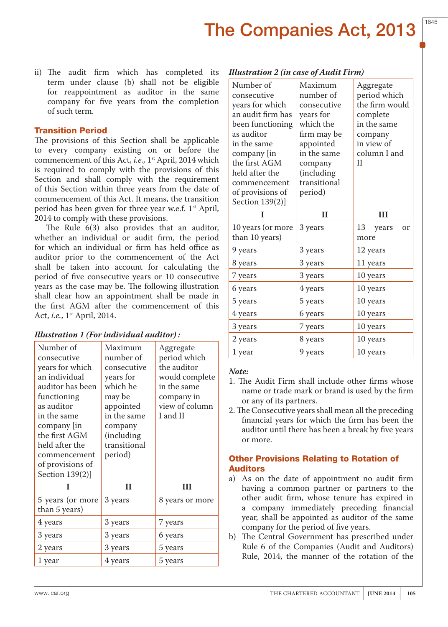ii) The audit firm which has completed its term under clause (b) shall not be eligible for reappointment as auditor in the same company for five years from the completion of such term.

# Transition Period

The provisions of this Section shall be applicable to every company existing on or before the commencement of this Act, *i.e.*, 1<sup>st</sup> April, 2014 which is required to comply with the provisions of this Section and shall comply with the requirement of this Section within three years from the date of commencement of this Act. It means, the transition period has been given for three year w.e.f. 1st April, 2014 to comply with these provisions.

The Rule 6(3) also provides that an auditor, whether an individual or audit firm, the period for which an individual or firm has held office as auditor prior to the commencement of the Act shall be taken into account for calculating the period of five consecutive years or 10 consecutive years as the case may be. The following illustration shall clear how an appointment shall be made in the first AGM after the commencement of this Act, *i.e.*, 1st April, 2014.

| Number of<br>consecutive<br>years for which<br>an individual<br>auditor has been<br>functioning<br>as auditor<br>in the same<br>company   in<br>the first AGM<br>held after the<br>commencement<br>of provisions of<br>Section 139(2)] | Maximum<br>number of<br>consecutive<br>years for<br>which he<br>may be<br>appointed<br>in the same<br>company<br>(including<br>transitional<br>period) | Aggregate<br>period which<br>the auditor<br>would complete<br>in the same<br>company in<br>view of column<br>I and II |
|----------------------------------------------------------------------------------------------------------------------------------------------------------------------------------------------------------------------------------------|--------------------------------------------------------------------------------------------------------------------------------------------------------|-----------------------------------------------------------------------------------------------------------------------|
| I                                                                                                                                                                                                                                      | $\mathbf{H}$                                                                                                                                           | H                                                                                                                     |
| 5 years (or more<br>than 5 years)                                                                                                                                                                                                      | 3 years                                                                                                                                                | 8 years or more                                                                                                       |
| 4 years                                                                                                                                                                                                                                | 3 years                                                                                                                                                | 7 years                                                                                                               |
| 3 years                                                                                                                                                                                                                                | 3 years                                                                                                                                                | 6 years                                                                                                               |
| 2 years                                                                                                                                                                                                                                | 3 years                                                                                                                                                | 5 years                                                                                                               |
| 1 year                                                                                                                                                                                                                                 |                                                                                                                                                        |                                                                                                                       |

### *Illustration 1 (For individual auditor) :*

| Number of<br>consecutive<br>years for which<br>an audit firm has<br>been functioning<br>as auditor<br>in the same<br>company [in<br>the first AGM<br>held after the<br>commencement<br>of provisions of<br>Section 139(2)] | Maximum<br>number of<br>consecutive<br>years for<br>which the<br>firm may be<br>appointed<br>in the same<br>company<br>(including<br>transitional<br>period) | Aggregate<br>period which<br>the firm would<br>complete<br>in the same<br>company<br>in view of<br>column I and<br>$\mathbf{I}$ |
|----------------------------------------------------------------------------------------------------------------------------------------------------------------------------------------------------------------------------|--------------------------------------------------------------------------------------------------------------------------------------------------------------|---------------------------------------------------------------------------------------------------------------------------------|
| I                                                                                                                                                                                                                          | $\mathbf{H}$                                                                                                                                                 | $\mathbf{III}$                                                                                                                  |
|                                                                                                                                                                                                                            |                                                                                                                                                              |                                                                                                                                 |
| 10 years (or more<br>than 10 years)                                                                                                                                                                                        | 3 years                                                                                                                                                      | 13<br>years<br>or<br>more                                                                                                       |
| 9 years                                                                                                                                                                                                                    | 3 years                                                                                                                                                      | 12 years                                                                                                                        |
| 8 years                                                                                                                                                                                                                    | 3 years                                                                                                                                                      | 11 years                                                                                                                        |
| 7 years                                                                                                                                                                                                                    | 3 years                                                                                                                                                      | 10 years                                                                                                                        |
| 6 years                                                                                                                                                                                                                    | 4 years                                                                                                                                                      | 10 years                                                                                                                        |
| 5 years                                                                                                                                                                                                                    | 5 years                                                                                                                                                      | 10 years                                                                                                                        |
| 4 years                                                                                                                                                                                                                    | 6 years                                                                                                                                                      | 10 years                                                                                                                        |
| 3 years                                                                                                                                                                                                                    | 7 years                                                                                                                                                      | 10 years                                                                                                                        |
| 2 years                                                                                                                                                                                                                    | 8 years                                                                                                                                                      | 10 years                                                                                                                        |

### *Note:*

- 1. The Audit Firm shall include other firms whose name or trade mark or brand is used by the firm or any of its partners.
- 2. The Consecutive years shall mean all the preceding financial years for which the firm has been the auditor until there has been a break by five years or more.

## Other Provisions Relating to Rotation of Auditors

- a) As on the date of appointment no audit firm having a common partner or partners to the other audit firm, whose tenure has expired in a company immediately preceding financial year, shall be appointed as auditor of the same company for the period of five years.
- b) The Central Government has prescribed under Rule 6 of the Companies (Audit and Auditors) Rule, 2014, the manner of the rotation of the